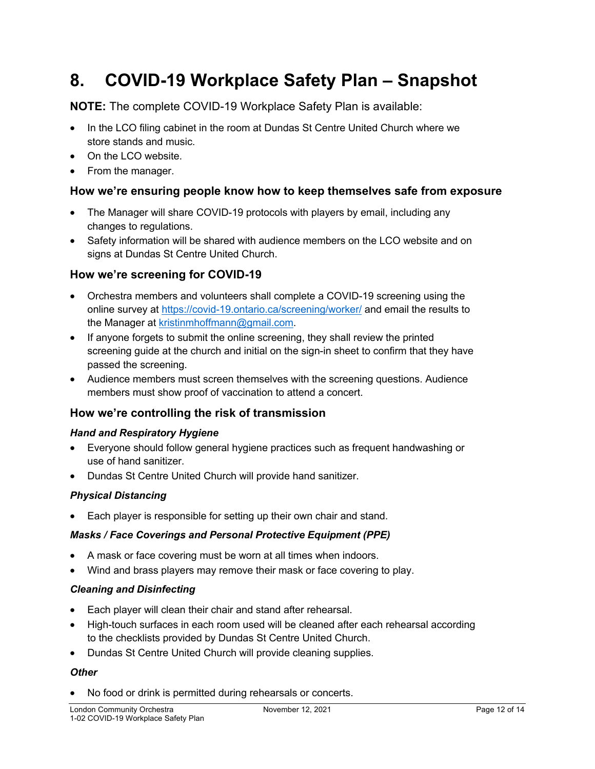# **8. COVID-19 Workplace Safety Plan – Snapshot**

**NOTE:** The complete COVID-19 Workplace Safety Plan is available:

- In the LCO filing cabinet in the room at Dundas St Centre United Church where we store stands and music.
- On the LCO website.
- From the manager.

## **How we're ensuring people know how to keep themselves safe from exposure**

- The Manager will share COVID-19 protocols with players by email, including any changes to regulations.
- Safety information will be shared with audience members on the LCO website and on signs at Dundas St Centre United Church.

## **How we're screening for COVID-19**

- Orchestra members and volunteers shall complete a COVID-19 screening using the online survey at https://covid-19.ontario.ca/screening/worker/ and email the results to the Manager at kristinmhoffmann@gmail.com.
- If anyone forgets to submit the online screening, they shall review the printed screening guide at the church and initial on the sign-in sheet to confirm that they have passed the screening.
- Audience members must screen themselves with the screening questions. Audience members must show proof of vaccination to attend a concert.

## **How we're controlling the risk of transmission**

#### *Hand and Respiratory Hygiene*

- Everyone should follow general hygiene practices such as frequent handwashing or use of hand sanitizer.
- Dundas St Centre United Church will provide hand sanitizer.

#### *Physical Distancing*

• Each player is responsible for setting up their own chair and stand.

#### *Masks / Face Coverings and Personal Protective Equipment (PPE)*

- A mask or face covering must be worn at all times when indoors.
- Wind and brass players may remove their mask or face covering to play.

#### *Cleaning and Disinfecting*

- Each player will clean their chair and stand after rehearsal.
- High-touch surfaces in each room used will be cleaned after each rehearsal according to the checklists provided by Dundas St Centre United Church.
- Dundas St Centre United Church will provide cleaning supplies.

## *Other*

• No food or drink is permitted during rehearsals or concerts.